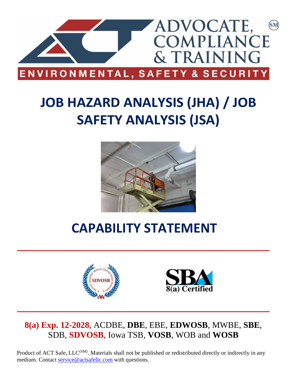

# **JOB HAZARD ANALYSIS (JHA) / JOB SAFETY ANALYSIS (JSA)**



## **CAPABILITY STATEMENT**





## **8(a) Exp. 12-2028**, ACDBE, **DBE**, EBE, **EDWOSB**, MWBE, **SBE**, SDB, **SDVOSB**, Iowa TSB, **VOSB**, WOB and **WOSB**

Product of ACT Safe, LLC<sup>(SM)</sup>. Materials shall not be published or redistributed directly or indirectly in any medium. Contact [service@actsafellc.com](mailto:service@actsafellc.com) with questions.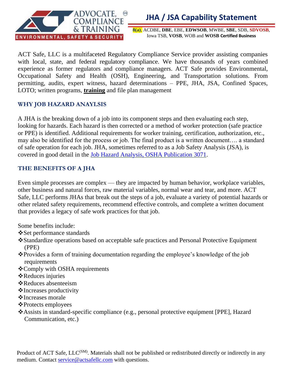

## **JHA / JSA Capability Statement**

**8(a)**, ACDBE, **DBE**, EBE, **EDWSOB**, MWBE, **SBE**, SDB, **SDVOSB**, Iowa TSB, **VOSB**, WOB and **WOSB Certified Business**

ACT Safe, LLC is a multifaceted Regulatory Compliance Service provider assisting companies with local, state, and federal regulatory compliance. We have thousands of years combined experience as former regulators and compliance managers. ACT Safe provides Environmental, Occupational Safety and Health (OSH), Engineering, and Transportation solutions. From permitting, audits, expert witness, hazard determinations – PPE, JHA, JSA, Confined Spaces, LOTO; written programs, **training** and file plan management

#### **WHY JOB HAZARD ANAYLSIS**

A JHA is the breaking down of a job into its component steps and then evaluating each step, looking for hazards. Each hazard is then corrected or a method of worker protection (safe practice or PPE) is identified. Additional requirements for worker training, certification, authorization, etc., may also be identified for the process or job. The final product is a written document…. a standard of safe operation for each job. JHA, sometimes referred to as a Job Safety Analysis (JSA), is covered in good detail in the [Job Hazard Analysis, OSHA Publication 3071.](http://www.osha.gov/Publications/osha3071.pdf)

#### **THE BENEFITS OF A JHA**

Even simple processes are complex — they are impacted by human behavior, workplace variables, other business and natural forces, raw material variables, normal wear and tear, and more. ACT Safe, LLC performs JHAs that break out the steps of a job, evaluate a variety of potential hazards or other related safety requirements, recommend effective controls, and complete a written document that provides a legacy of safe work practices for that job.

Some benefits include:

- ❖Set performance standards
- ❖Standardize operations based on acceptable safe practices and Personal Protective Equipment (PPE)
- ❖Provides a form of training documentation regarding the employee's knowledge of the job requirements
- ❖Comply with OSHA requirements
- ❖Reduces injuries
- ❖Reduces absenteeism
- ❖Increases productivity
- ❖Increases morale
- ❖Protects employees
- ❖Assists in standard-specific compliance (e.g., personal protective equipment [PPE], Hazard Communication, etc.)

Product of ACT Safe, LLC<sup>(SM)</sup>. Materials shall not be published or redistributed directly or indirectly in any medium. Contact [service@actsafellc.com](mailto:service@actsafellc.com) with questions.